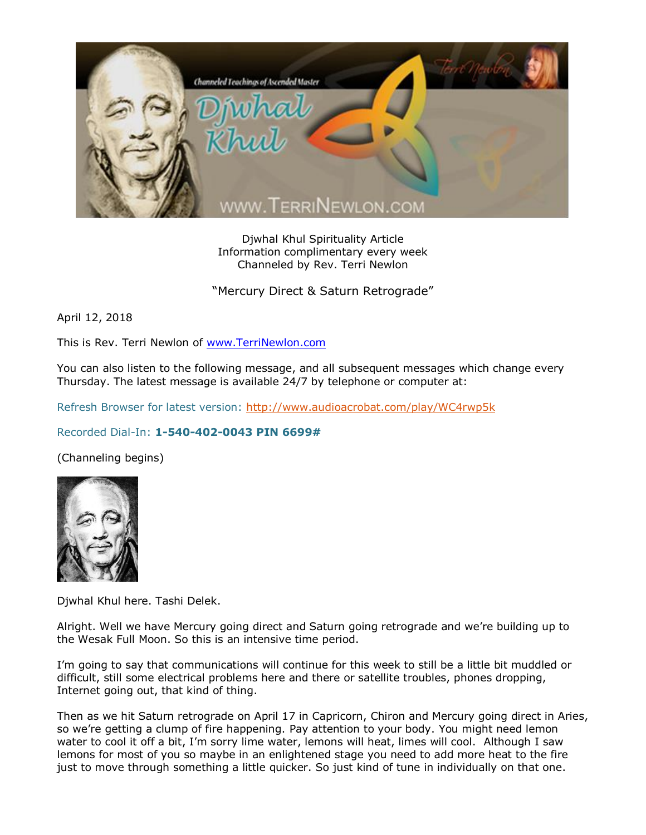

Djwhal Khul Spirituality Article Information complimentary every week Channeled by Rev. Terri Newlon

"Mercury Direct & Saturn Retrograde"

April 12, 2018

This is Rev. Terri Newlon of [www.TerriNewlon.com](http://www.terrinewlon.com/)

You can also listen to the following message, and all subsequent messages which change every Thursday. The latest message is available 24/7 by telephone or computer at:

Refresh Browser for latest version:<http://www.audioacrobat.com/play/WC4rwp5k>

## Recorded Dial-In: **1-540-402-0043 PIN 6699#**

(Channeling begins)



Djwhal Khul here. Tashi Delek.

Alright. Well we have Mercury going direct and Saturn going retrograde and we're building up to the Wesak Full Moon. So this is an intensive time period.

I'm going to say that communications will continue for this week to still be a little bit muddled or difficult, still some electrical problems here and there or satellite troubles, phones dropping, Internet going out, that kind of thing.

Then as we hit Saturn retrograde on April 17 in Capricorn, Chiron and Mercury going direct in Aries, so we're getting a clump of fire happening. Pay attention to your body. You might need lemon water to cool it off a bit, I'm sorry lime water, lemons will heat, limes will cool. Although I saw lemons for most of you so maybe in an enlightened stage you need to add more heat to the fire just to move through something a little quicker. So just kind of tune in individually on that one.